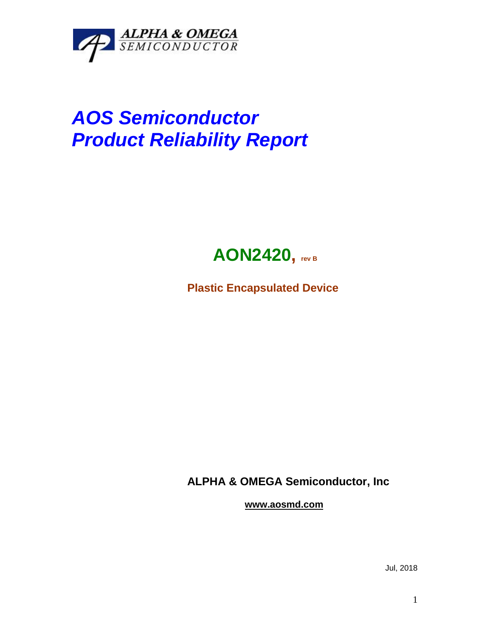

## *AOS Semiconductor Product Reliability Report*



**Plastic Encapsulated Device**

**ALPHA & OMEGA Semiconductor, Inc**

**www.aosmd.com**

Jul, 2018